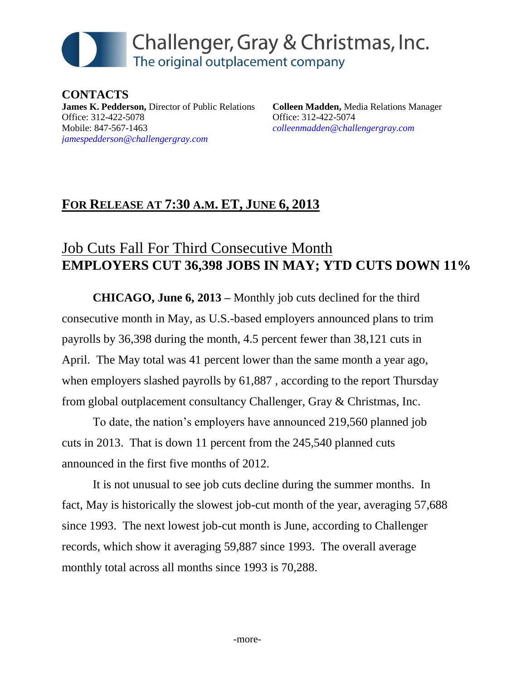# Challenger, Gray & Christmas, Inc. The original outplacement company

**CONTACTS James K. Pedderson,** Director of Public Relations Office: 312-422-5078 Mobile: 847-567-1463 *[jamespedderson@challengergray.com](mailto:jamespedderson@challengergray.com)*

**Colleen Madden,** Media Relations Manager Office: 312-422-5074 *[colleenmadden@challengergray.com](mailto:colleenmadden@challengergray.com)*

## **FOR RELEASE AT 7:30 A.M. ET, JUNE 6, 2013**

## Job Cuts Fall For Third Consecutive Month **EMPLOYERS CUT 36,398 JOBS IN MAY; YTD CUTS DOWN 11%**

**CHICAGO, June 6, 2013 –** Monthly job cuts declined for the third consecutive month in May, as U.S.-based employers announced plans to trim payrolls by 36,398 during the month, 4.5 percent fewer than 38,121 cuts in April. The May total was 41 percent lower than the same month a year ago, when employers slashed payrolls by 61,887 , according to the report Thursday from global outplacement consultancy Challenger, Gray & Christmas, Inc.

To date, the nation's employers have announced 219,560 planned job cuts in 2013. That is down 11 percent from the 245,540 planned cuts announced in the first five months of 2012.

It is not unusual to see job cuts decline during the summer months. In fact, May is historically the slowest job-cut month of the year, averaging 57,688 since 1993. The next lowest job-cut month is June, according to Challenger records, which show it averaging 59,887 since 1993. The overall average monthly total across all months since 1993 is 70,288.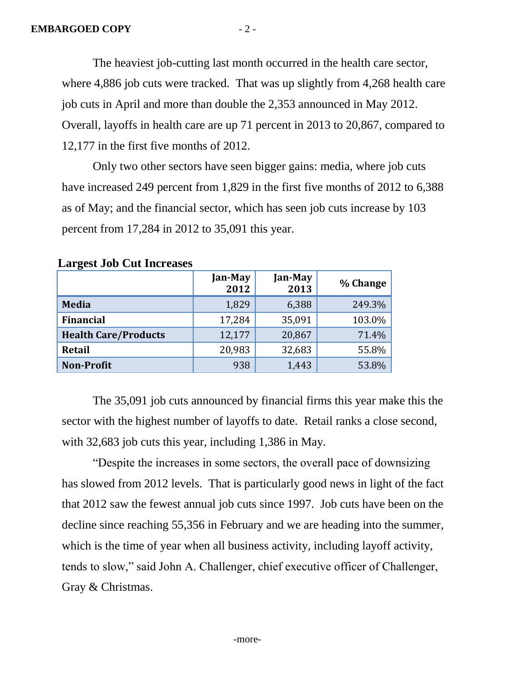The heaviest job-cutting last month occurred in the health care sector, where 4,886 job cuts were tracked. That was up slightly from 4,268 health care job cuts in April and more than double the 2,353 announced in May 2012. Overall, layoffs in health care are up 71 percent in 2013 to 20,867, compared to 12,177 in the first five months of 2012.

Only two other sectors have seen bigger gains: media, where job cuts have increased 249 percent from 1,829 in the first five months of 2012 to 6,388 as of May; and the financial sector, which has seen job cuts increase by 103 percent from 17,284 in 2012 to 35,091 this year.

| <b>Earl</b> Cove Good Care Incleases |                 |                 |          |  |  |
|--------------------------------------|-----------------|-----------------|----------|--|--|
|                                      | Jan-May<br>2012 | Jan-May<br>2013 | % Change |  |  |
| <b>Media</b>                         | 1,829           | 6,388           | 249.3%   |  |  |
| <b>Financial</b>                     | 17,284          | 35,091          | 103.0%   |  |  |
| <b>Health Care/Products</b>          | 12,177          | 20,867          | 71.4%    |  |  |
| <b>Retail</b>                        | 20,983          | 32,683          | 55.8%    |  |  |
| <b>Non-Profit</b>                    | 938             | 1,443           | 53.8%    |  |  |

#### **Largest Job Cut Increases**

The 35,091 job cuts announced by financial firms this year make this the sector with the highest number of layoffs to date. Retail ranks a close second, with 32,683 job cuts this year, including 1,386 in May.

"Despite the increases in some sectors, the overall pace of downsizing has slowed from 2012 levels. That is particularly good news in light of the fact that 2012 saw the fewest annual job cuts since 1997. Job cuts have been on the decline since reaching 55,356 in February and we are heading into the summer, which is the time of year when all business activity, including layoff activity, tends to slow," said John A. Challenger, chief executive officer of Challenger, Gray & Christmas.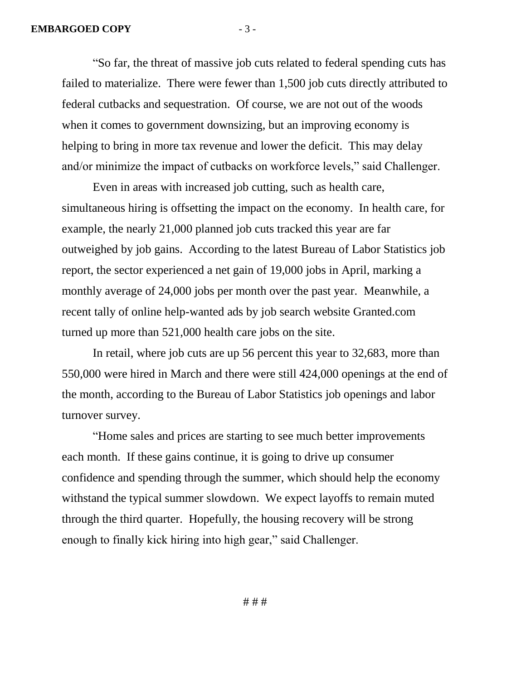"So far, the threat of massive job cuts related to federal spending cuts has failed to materialize. There were fewer than 1,500 job cuts directly attributed to federal cutbacks and sequestration. Of course, we are not out of the woods when it comes to government downsizing, but an improving economy is helping to bring in more tax revenue and lower the deficit. This may delay and/or minimize the impact of cutbacks on workforce levels," said Challenger.

Even in areas with increased job cutting, such as health care, simultaneous hiring is offsetting the impact on the economy. In health care, for example, the nearly 21,000 planned job cuts tracked this year are far outweighed by job gains. According to the latest Bureau of Labor Statistics job report, the sector experienced a net gain of 19,000 jobs in April, marking a monthly average of 24,000 jobs per month over the past year. Meanwhile, a recent tally of online help-wanted ads by job search website Granted.com turned up more than 521,000 health care jobs on the site.

In retail, where job cuts are up 56 percent this year to 32,683, more than 550,000 were hired in March and there were still 424,000 openings at the end of the month, according to the Bureau of Labor Statistics job openings and labor turnover survey.

"Home sales and prices are starting to see much better improvements each month. If these gains continue, it is going to drive up consumer confidence and spending through the summer, which should help the economy withstand the typical summer slowdown. We expect layoffs to remain muted through the third quarter. Hopefully, the housing recovery will be strong enough to finally kick hiring into high gear," said Challenger.

# # #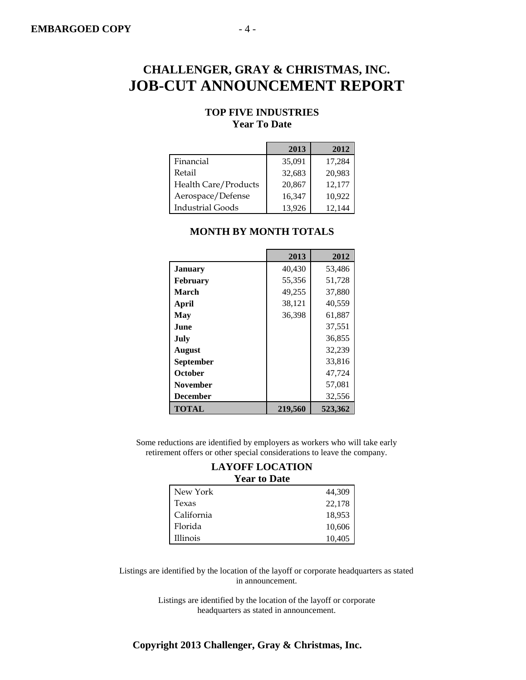#### **TOP FIVE INDUSTRIES Year To Date**

|                         | 2013   | 2012   |
|-------------------------|--------|--------|
| Financial               | 35,091 | 17,284 |
| Retail                  | 32,683 | 20,983 |
| Health Care/Products    | 20,867 | 12,177 |
| Aerospace/Defense       | 16,347 | 10,922 |
| <b>Industrial Goods</b> | 13,926 | 12,144 |

|                 | 2013    | 2012    |
|-----------------|---------|---------|
| <b>January</b>  | 40,430  | 53,486  |
| February        | 55,356  | 51,728  |
| March           | 49,255  | 37.880  |
| April           | 38,121  | 40,559  |
| May             | 36,398  | 61,887  |
| <b>June</b>     |         | 37,551  |
| July            |         | 36,855  |
| <b>August</b>   |         | 32,239  |
| September       |         | 33,816  |
| October         |         | 47,724  |
| <b>November</b> |         | 57,081  |
| <b>December</b> |         | 32,556  |
| <b>TOTAL</b>    | 219,560 | 523,362 |

#### **MONTH BY MONTH TOTALS**

Some reductions are identified by employers as workers who will take early retirement offers or other special considerations to leave the company.

#### **LAYOFF LOCATION Year to Date**

| New York   | 44,309 |
|------------|--------|
| Texas      | 22,178 |
| California | 18,953 |
| Florida    | 10,606 |
| Illinois   | 10,405 |

Listings are identified by the location of the layoff or corporate headquarters as stated in announcement.

> Listings are identified by the location of the layoff or corporate headquarters as stated in announcement.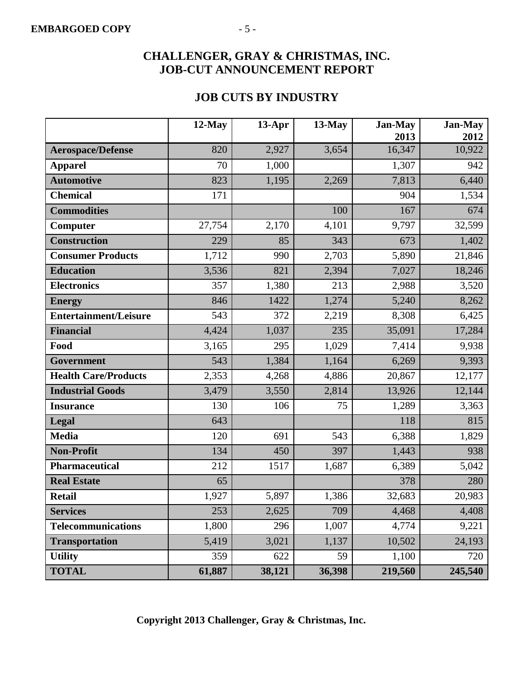### **JOB CUTS BY INDUSTRY**

|                              | $12$ -May | $13-Apr$ | $13$ -May | <b>Jan-May</b><br>2013 | <b>Jan-May</b><br>2012 |
|------------------------------|-----------|----------|-----------|------------------------|------------------------|
| <b>Aerospace/Defense</b>     | 820       | 2,927    | 3,654     | 16,347                 | 10,922                 |
| <b>Apparel</b>               | 70        | 1,000    |           | 1,307                  | 942                    |
| <b>Automotive</b>            | 823       | 1,195    | 2,269     | 7,813                  | 6,440                  |
| <b>Chemical</b>              | 171       |          |           | 904                    | 1,534                  |
| <b>Commodities</b>           |           |          | 100       | 167                    | 674                    |
| Computer                     | 27,754    | 2,170    | 4,101     | 9,797                  | 32,599                 |
| <b>Construction</b>          | 229       | 85       | 343       | 673                    | 1,402                  |
| <b>Consumer Products</b>     | 1,712     | 990      | 2,703     | 5,890                  | 21,846                 |
| <b>Education</b>             | 3,536     | 821      | 2,394     | 7,027                  | 18,246                 |
| <b>Electronics</b>           | 357       | 1,380    | 213       | 2,988                  | 3,520                  |
| <b>Energy</b>                | 846       | 1422     | 1,274     | 5,240                  | 8,262                  |
| <b>Entertainment/Leisure</b> | 543       | 372      | 2,219     | 8,308                  | 6,425                  |
| <b>Financial</b>             | 4,424     | 1,037    | 235       | 35,091                 | 17,284                 |
| Food                         | 3,165     | 295      | 1,029     | 7,414                  | 9,938                  |
| Government                   | 543       | 1,384    | 1,164     | 6,269                  | 9,393                  |
| <b>Health Care/Products</b>  | 2,353     | 4,268    | 4,886     | 20,867                 | 12,177                 |
| <b>Industrial Goods</b>      | 3,479     | 3,550    | 2,814     | 13,926                 | 12,144                 |
| <b>Insurance</b>             | 130       | 106      | 75        | 1,289                  | 3,363                  |
| Legal                        | 643       |          |           | 118                    | 815                    |
| <b>Media</b>                 | 120       | 691      | 543       | 6,388                  | 1,829                  |
| <b>Non-Profit</b>            | 134       | 450      | 397       | 1,443                  | 938                    |
| <b>Pharmaceutical</b>        | 212       | 1517     | 1,687     | 6,389                  | 5,042                  |
| <b>Real Estate</b>           | 65        |          |           | 378                    | 280                    |
| <b>Retail</b>                | 1,927     | 5,897    | 1,386     | 32,683                 | 20,983                 |
| <b>Services</b>              | 253       | 2,625    | 709       | 4,468                  | 4,408                  |
| <b>Telecommunications</b>    | 1,800     | 296      | 1,007     | 4,774                  | 9,221                  |
| <b>Transportation</b>        | 5,419     | 3,021    | 1,137     | 10,502                 | 24,193                 |
| <b>Utility</b>               | 359       | 622      | 59        | 1,100                  | 720                    |
| <b>TOTAL</b>                 | 61,887    | 38,121   | 36,398    | 219,560                | 245,540                |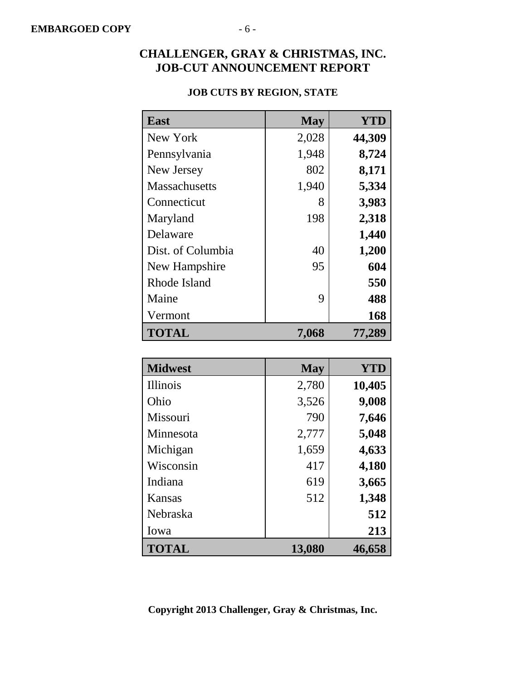## **East May YTD** New York 2,028 **44,309** Pennsylvania 1,948 **8,724** New Jersey 802 8,171 Massachusetts 1,940 **5,334** Connecticut 8 **3,983** Maryland 198 **2,318** Delaware **1,440** Dist. of Columbia **1,200** New Hampshire 195 **604** Rhode Island **550** Maine 9 488 Vermont **168 TOTAL 7,068 77,289**

|  | <b>JOB CUTS BY REGION, STATE</b> |  |
|--|----------------------------------|--|
|  |                                  |  |

| <b>Midwest</b>  | <b>May</b> | <b>YTD</b> |
|-----------------|------------|------------|
| <b>Illinois</b> | 2,780      | 10,405     |
| Ohio            | 3,526      | 9,008      |
| Missouri        | 790        | 7,646      |
| Minnesota       | 2,777      | 5,048      |
| Michigan        | 1,659      | 4,633      |
| Wisconsin       | 417        | 4,180      |
| Indiana         | 619        | 3,665      |
| Kansas          | 512        | 1,348      |
| Nebraska        |            | 512        |
| Iowa            |            | 213        |
| <b>TOTAL</b>    | 13,080     | 46,658     |

**Copyright 2013 Challenger, Gray & Christmas, Inc.**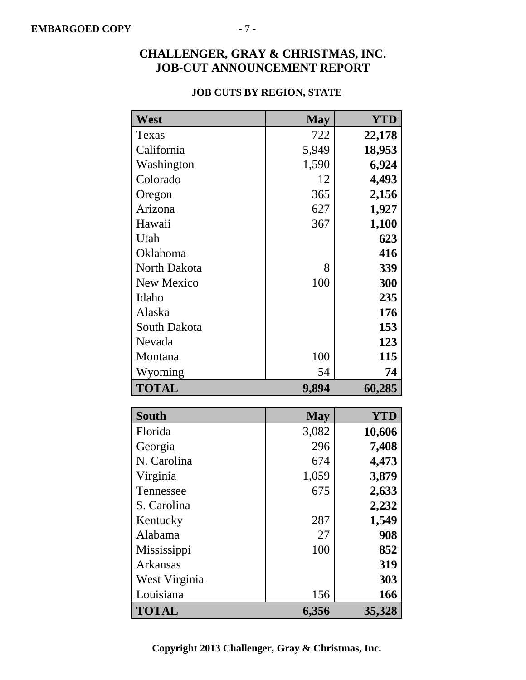### **JOB CUTS BY REGION, STATE**

| West              | <b>May</b> | <b>YTD</b> |
|-------------------|------------|------------|
| Texas             | 722        | 22,178     |
| California        | 5,949      | 18,953     |
| Washington        | 1,590      | 6,924      |
| Colorado          | 12         | 4,493      |
| Oregon            | 365        | 2,156      |
| Arizona           | 627        | 1,927      |
| Hawaii            | 367        | 1,100      |
| Utah              |            | 623        |
| Oklahoma          |            | 416        |
| North Dakota      | 8          | 339        |
| <b>New Mexico</b> | 100        | 300        |
| Idaho             |            | 235        |
| Alaska            |            | 176        |
| South Dakota      |            | 153        |
| Nevada            |            | 123        |
| Montana           | 100        | 115        |
| Wyoming           | 54         | 74         |
| <b>TOTAL</b>      | 9,894      | 60,285     |
|                   |            |            |
| South             | <b>May</b> | <b>YTD</b> |
| Florida           | 3,082      | 10,606     |
| Georgia           | 296        | 7,408      |
| N. Carolina       | 674        | 4,473      |
| Virginia          | 1,059      | 3,879      |
| Tennessee         | 675        | 2,633      |
| S. Carolina       |            | 2,232      |
| Kentucky          | 287        | 1,549      |
| Alabama           | 27         | 908        |
| Mississippi       | 100        | 852        |
| Arkansas          |            | 319        |
| West Virginia     |            | 303        |
| Louisiana         | 156        | 166        |
| <b>TOTAL</b>      | 6,356      | 35,328     |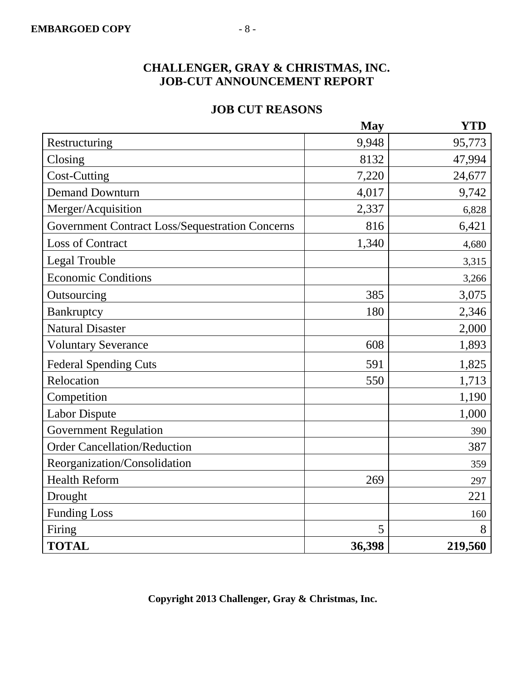### **JOB CUT REASONS**

|                                                        | <b>May</b> | <b>YTD</b> |
|--------------------------------------------------------|------------|------------|
| Restructuring                                          | 9,948      | 95,773     |
| Closing                                                | 8132       | 47,994     |
| <b>Cost-Cutting</b>                                    | 7,220      | 24,677     |
| <b>Demand Downturn</b>                                 | 4,017      | 9,742      |
| Merger/Acquisition                                     | 2,337      | 6,828      |
| <b>Government Contract Loss/Sequestration Concerns</b> | 816        | 6,421      |
| <b>Loss of Contract</b>                                | 1,340      | 4,680      |
| Legal Trouble                                          |            | 3,315      |
| <b>Economic Conditions</b>                             |            | 3,266      |
| Outsourcing                                            | 385        | 3,075      |
| Bankruptcy                                             | 180        | 2,346      |
| <b>Natural Disaster</b>                                |            | 2,000      |
| <b>Voluntary Severance</b>                             | 608        | 1,893      |
| <b>Federal Spending Cuts</b>                           | 591        | 1,825      |
| Relocation                                             | 550        | 1,713      |
| Competition                                            |            | 1,190      |
| <b>Labor Dispute</b>                                   |            | 1,000      |
| <b>Government Regulation</b>                           |            | 390        |
| <b>Order Cancellation/Reduction</b>                    |            | 387        |
| Reorganization/Consolidation                           |            | 359        |
| <b>Health Reform</b>                                   | 269        | 297        |
| Drought                                                |            | 221        |
| <b>Funding Loss</b>                                    |            | 160        |
| Firing                                                 | 5          | 8          |
| <b>TOTAL</b>                                           | 36,398     | 219,560    |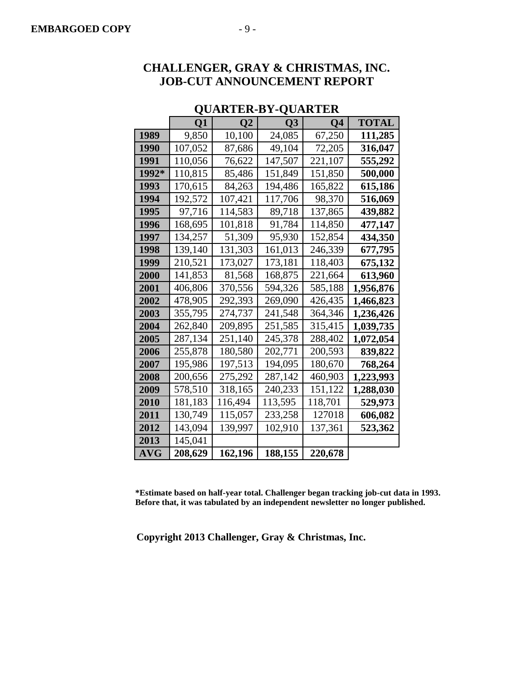|                | ≺∽⊷     |                | ⊻∽∸∸    |         |           |
|----------------|---------|----------------|---------|---------|-----------|
|                | Q1      | Q <sub>2</sub> | Q3      | Q4      | TOTAL     |
| 1989           | 9,850   | 10,100         | 24,085  | 67,250  | 111,285   |
| 1990           | 107,052 | 87,686         | 49,104  | 72,205  | 316,047   |
| 1991           | 110,056 | 76,622         | 147,507 | 221,107 | 555,292   |
| 1992*          | 110,815 | 85,486         | 151,849 | 151,850 | 500,000   |
| 1993           | 170,615 | 84,263         | 194,486 | 165,822 | 615,186   |
| 1994           | 192,572 | 107,421        | 117,706 | 98,370  | 516,069   |
| 1995           | 97,716  | 114,583        | 89,718  | 137,865 | 439,882   |
| 1996           | 168,695 | 101,818        | 91,784  | 114,850 | 477,147   |
| 1997           | 134,257 | 51,309         | 95,930  | 152,854 | 434,350   |
| 1998           | 139,140 | 131,303        | 161,013 | 246,339 | 677,795   |
| 1999           | 210,521 | 173,027        | 173,181 | 118,403 | 675,132   |
| 2000           | 141,853 | 81,568         | 168,875 | 221,664 | 613,960   |
| <b>2001</b>    | 406,806 | 370,556        | 594,326 | 585,188 | 1,956,876 |
| 2002           | 478,905 | 292,393        | 269,090 | 426,435 | 1,466,823 |
| 2003           | 355,795 | 274,737        | 241,548 | 364,346 | 1,236,426 |
| 2004           | 262,840 | 209,895        | 251,585 | 315,415 | 1,039,735 |
| 2005           | 287,134 | 251,140        | 245,378 | 288,402 | 1,072,054 |
| 2006           | 255,878 | 180,580        | 202,771 | 200,593 | 839,822   |
| 2007           | 195,986 | 197,513        | 194,095 | 180,670 | 768,264   |
| 2008           | 200,656 | 275,292        | 287,142 | 460,903 | 1,223,993 |
| 2009           | 578,510 | 318,165        | 240,233 | 151,122 | 1,288,030 |
| 2010           | 181,183 | 116,494        | 113,595 | 118,701 | 529,973   |
| 2011           | 130,749 | 115,057        | 233,258 | 127018  | 606,082   |
| 2012           | 143,094 | 139,997        | 102,910 | 137,361 | 523,362   |
| 2013           | 145,041 |                |         |         |           |
| $\mathbf{AVG}$ | 208,629 | 162,196        | 188,155 | 220,678 |           |

### **QUARTER-BY-QUARTER**

**\*Estimate based on half-year total. Challenger began tracking job-cut data in 1993. Before that, it was tabulated by an independent newsletter no longer published.**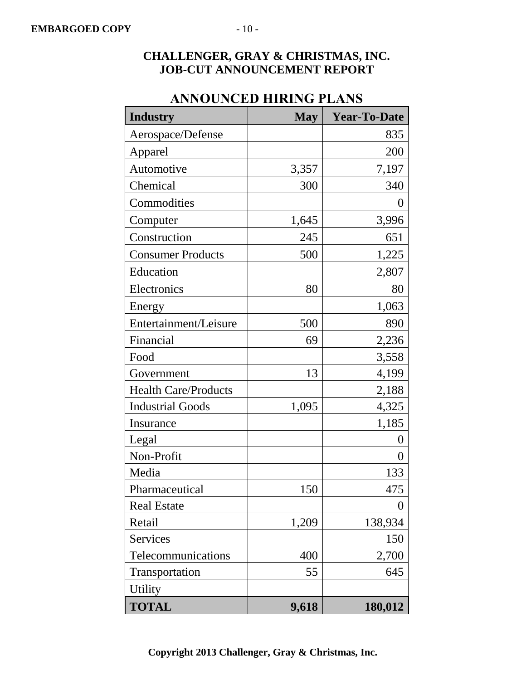| $\mathbf{m}\mathbf{m}\mathbf{v}$ |            | 10 T DI JI 10       |
|----------------------------------|------------|---------------------|
| <b>Industry</b>                  | <b>May</b> | <b>Year-To-Date</b> |
| Aerospace/Defense                |            | 835                 |
| Apparel                          |            | 200                 |
| Automotive                       | 3,357      | 7,197               |
| Chemical                         | 300        | 340                 |
| Commodities                      |            | $\boldsymbol{0}$    |
| Computer                         | 1,645      | 3,996               |
| Construction                     | 245        | 651                 |
| <b>Consumer Products</b>         | 500        | 1,225               |
| Education                        |            | 2,807               |
| Electronics                      | 80         | 80                  |
| Energy                           |            | 1,063               |
| Entertainment/Leisure            | 500        | 890                 |
| Financial                        | 69         | 2,236               |
| Food                             |            | 3,558               |
| Government                       | 13         | 4,199               |
| <b>Health Care/Products</b>      |            | 2,188               |
| <b>Industrial Goods</b>          | 1,095      | 4,325               |
| Insurance                        |            | 1,185               |
| Legal                            |            | 0                   |
| Non-Profit                       |            | 0                   |
| Media                            |            | 133                 |
| Pharmaceutical                   | 150        | 475                 |
| <b>Real Estate</b>               |            | 0                   |
| Retail                           | 1,209      | 138,934             |
| Services                         |            | 150                 |
| Telecommunications               | 400        | 2,700               |
| Transportation                   | 55         | 645                 |
| <b>Utility</b>                   |            |                     |
| <b>TOTAL</b>                     | 9,618      | 180,012             |

## **ANNOUNCED HIRING PLANS**